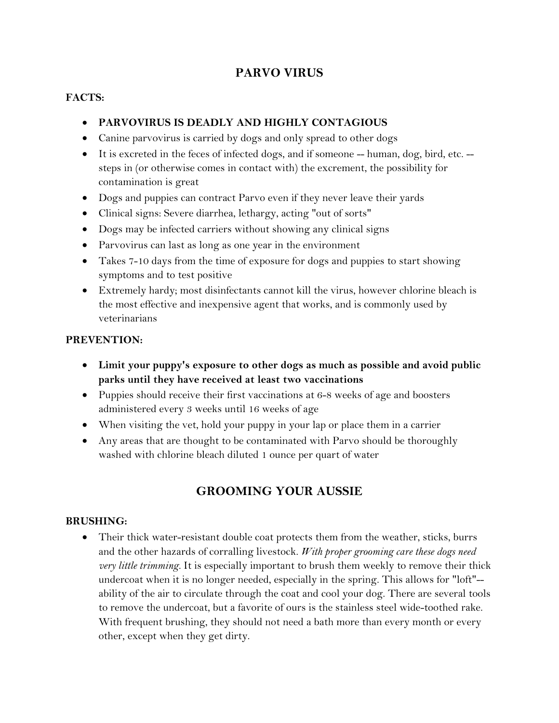# **PARVO VIRUS**

### **FACTS:**

### **PARVOVIRUS IS DEADLY AND HIGHLY CONTAGIOUS**

- Canine parvovirus is carried by dogs and only spread to other dogs
- It is excreted in the feces of infected dogs, and if someone -- human, dog, bird, etc. steps in (or otherwise comes in contact with) the excrement, the possibility for contamination is great
- Dogs and puppies can contract Parvo even if they never leave their yards
- Clinical signs: Severe diarrhea, lethargy, acting "out of sorts"
- Dogs may be infected carriers without showing any clinical signs
- Parvovirus can last as long as one year in the environment
- Takes 7-10 days from the time of exposure for dogs and puppies to start showing symptoms and to test positive
- Extremely hardy; most disinfectants cannot kill the virus, however chlorine bleach is the most effective and inexpensive agent that works, and is commonly used by veterinarians

#### **PREVENTION:**

- **Limit your puppy's exposure to other dogs as much as possible and avoid public parks until they have received at least two vaccinations**
- Puppies should receive their first vaccinations at 6-8 weeks of age and boosters administered every 3 weeks until 16 weeks of age
- When visiting the vet, hold your puppy in your lap or place them in a carrier
- Any areas that are thought to be contaminated with Parvo should be thoroughly washed with chlorine bleach diluted 1 ounce per quart of water

# **GROOMING YOUR AUSSIE**

#### **BRUSHING:**

 Their thick water-resistant double coat protects them from the weather, sticks, burrs and the other hazards of corralling livestock. *With proper grooming care these dogs need very little trimming.* It is especially important to brush them weekly to remove their thick undercoat when it is no longer needed, especially in the spring. This allows for "loft"- ability of the air to circulate through the coat and cool your dog. There are several tools to remove the undercoat, but a favorite of ours is the stainless steel wide-toothed rake. With frequent brushing, they should not need a bath more than every month or every other, except when they get dirty.